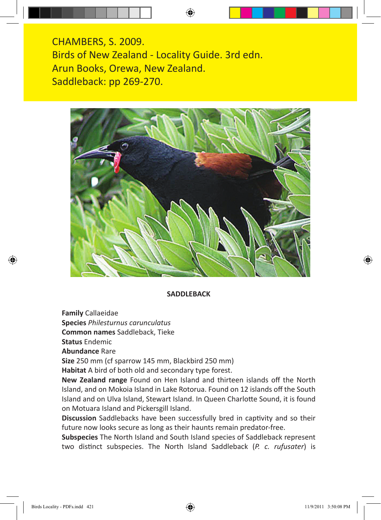CHAMBERS, S. 2009. Birds of New Zealand - Locality Guide. 3rd edn. Arun Books, Orewa, New Zealand. Saddleback: pp 269-270.



#### **SADDLEBACK**

**Family** Callaeidae **Species** *Philesturnus carunculatus* **Common names** Saddleback, Tieke **Status** Endemic

**Abundance** Rare

**Size** 250 mm (cf sparrow 145 mm, Blackbird 250 mm)

**Habitat** A bird of both old and secondary type forest.

**New Zealand range** Found on Hen Island and thirteen islands off the North Island, and on Mokoia Island in Lake Rotorua. Found on 12 islands off the South Island and on Ulva Island, Stewart Island. In Queen Charlotte Sound, it is found on Motuara Island and Pickersgill Island.

**Discussion** Saddlebacks have been successfully bred in captivity and so their future now looks secure as long as their haunts remain predator-free.

**Subspecies** The North Island and South Island species of Saddleback represent two distinct subspecies. The North Island Saddleback (*P. c. rufusater*) is